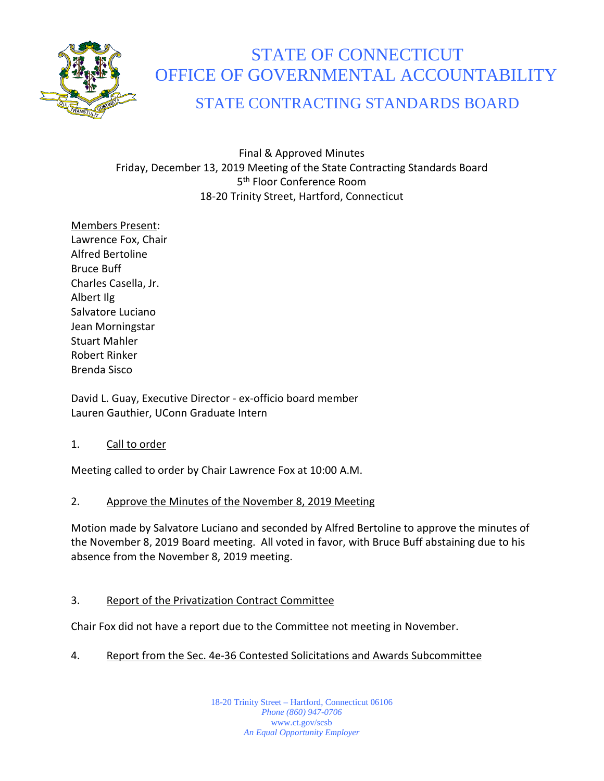

# STATE OF CONNECTICUT OFFICE OF GOVERNMENTAL ACCOUNTABILITY

# STATE CONTRACTING STANDARDS BOARD

Final & Approved Minutes Friday, December 13, 2019 Meeting of the State Contracting Standards Board 5<sup>th</sup> Floor Conference Room 18-20 Trinity Street, Hartford, Connecticut

Members Present: Lawrence Fox, Chair Alfred Bertoline Bruce Buff Charles Casella, Jr. Albert Ilg Salvatore Luciano Jean Morningstar Stuart Mahler Robert Rinker Brenda Sisco

David L. Guay, Executive Director - ex-officio board member Lauren Gauthier, UConn Graduate Intern

# 1. Call to order

Meeting called to order by Chair Lawrence Fox at 10:00 A.M.

# 2. Approve the Minutes of the November 8, 2019 Meeting

Motion made by Salvatore Luciano and seconded by Alfred Bertoline to approve the minutes of the November 8, 2019 Board meeting. All voted in favor, with Bruce Buff abstaining due to his absence from the November 8, 2019 meeting.

# 3. Report of the Privatization Contract Committee

Chair Fox did not have a report due to the Committee not meeting in November.

# 4. Report from the Sec. 4e-36 Contested Solicitations and Awards Subcommittee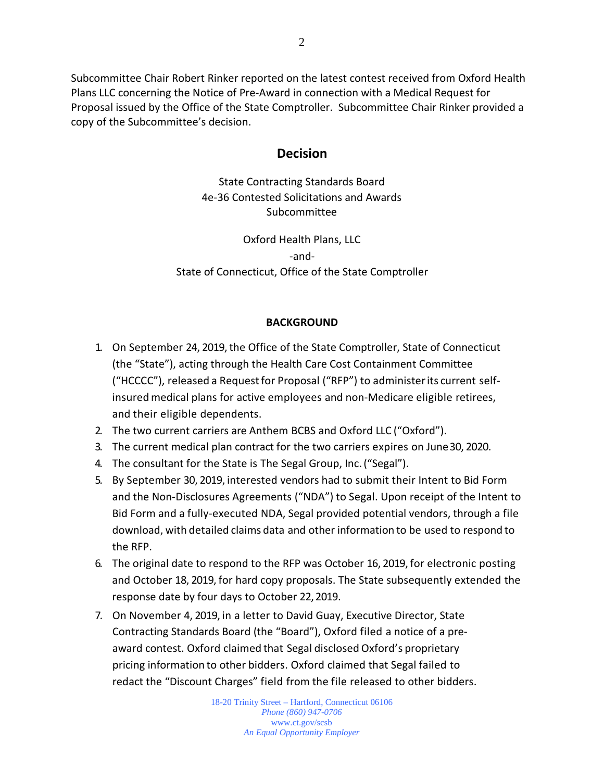Subcommittee Chair Robert Rinker reported on the latest contest received from Oxford Health Plans LLC concerning the Notice of Pre-Award in connection with a Medical Request for Proposal issued by the Office of the State Comptroller. Subcommittee Chair Rinker provided a copy of the Subcommittee's decision.

# **Decision**

State Contracting Standards Board 4e-36 Contested Solicitations and Awards Subcommittee

Oxford Health Plans, LLC -and-State of Connecticut, Office of the State Comptroller

#### **BACKGROUND**

- 1. On September 24, 2019, the Office of the State Comptroller, State of Connecticut (the "State"), acting through the Health Care Cost Containment Committee ("HCCCC"), released a Requestfor Proposal ("RFP") to administerits current selfinsured medical plans for active employees and non-Medicare eligible retirees, and their eligible dependents.
- 2. The two current carriers are Anthem BCBS and Oxford LLC ("Oxford").
- 3. The current medical plan contract for the two carriers expires on June30, 2020.
- 4. The consultant for the State is The Segal Group, Inc.("Segal").
- 5. By September 30, 2019, interested vendors had to submit their Intent to Bid Form and the Non-Disclosures Agreements ("NDA") to Segal. Upon receipt of the Intent to Bid Form and a fully-executed NDA, Segal provided potential vendors, through a file download, with detailed claims data and other information to be used to respond to the RFP.
- 6. The original date to respond to the RFP was October 16, 2019, for electronic posting and October 18, 2019, for hard copy proposals. The State subsequently extended the response date by four days to October 22,2019.
- 7. On November 4, 2019, in a letter to David Guay, Executive Director, State Contracting Standards Board (the "Board"), Oxford filed a notice of a preaward contest. Oxford claimed that Segal disclosed Oxford's proprietary pricing information to other bidders. Oxford claimed that Segal failed to redact the "Discount Charges" field from the file released to other bidders.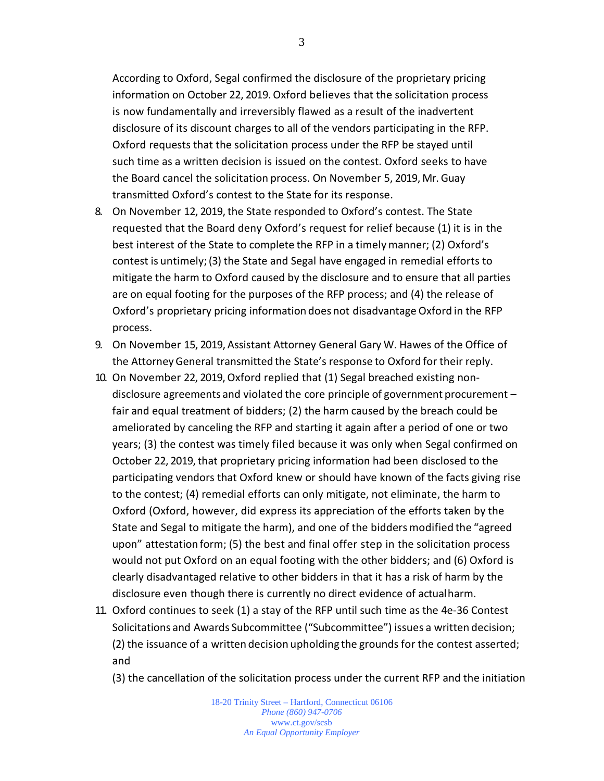According to Oxford, Segal confirmed the disclosure of the proprietary pricing information on October 22, 2019. Oxford believes that the solicitation process is now fundamentally and irreversibly flawed as a result of the inadvertent disclosure of its discount charges to all of the vendors participating in the RFP. Oxford requests that the solicitation process under the RFP be stayed until such time as a written decision is issued on the contest. Oxford seeks to have the Board cancel the solicitation process. On November 5, 2019, Mr. Guay transmitted Oxford's contest to the State for its response.

- 8. On November 12, 2019, the State responded to Oxford's contest. The State requested that the Board deny Oxford's request for relief because (1) it is in the best interest of the State to complete the RFP in a timelymanner; (2) Oxford's contest is untimely;(3) the State and Segal have engaged in remedial efforts to mitigate the harm to Oxford caused by the disclosure and to ensure that all parties are on equal footing for the purposes of the RFP process; and (4) the release of Oxford's proprietary pricing information does not disadvantage Oxford in the RFP process.
- 9. On November 15, 2019, Assistant Attorney General Gary W. Hawes of the Office of the AttorneyGeneral transmitted the State's response to Oxford for their reply.
- 10. On November 22, 2019, Oxford replied that (1) Segal breached existing nondisclosure agreements and violated the core principle of government procurement – fair and equal treatment of bidders; (2) the harm caused by the breach could be ameliorated by canceling the RFP and starting it again after a period of one or two years; (3) the contest was timely filed because it was only when Segal confirmed on October 22, 2019, that proprietary pricing information had been disclosed to the participating vendors that Oxford knew or should have known of the facts giving rise to the contest; (4) remedial efforts can only mitigate, not eliminate, the harm to Oxford (Oxford, however, did express its appreciation of the efforts taken by the State and Segal to mitigate the harm), and one of the bidders modified the "agreed upon" attestation form; (5) the best and final offer step in the solicitation process would not put Oxford on an equal footing with the other bidders; and (6) Oxford is clearly disadvantaged relative to other bidders in that it has a risk of harm by the disclosure even though there is currently no direct evidence of actualharm.
- 11. Oxford continues to seek (1) a stay of the RFP until such time as the 4e-36 Contest Solicitations and Awards Subcommittee ("Subcommittee") issues a written decision; (2) the issuance of a written decision upholding the grounds for the contest asserted; and
	- (3) the cancellation of the solicitation process under the current RFP and the initiation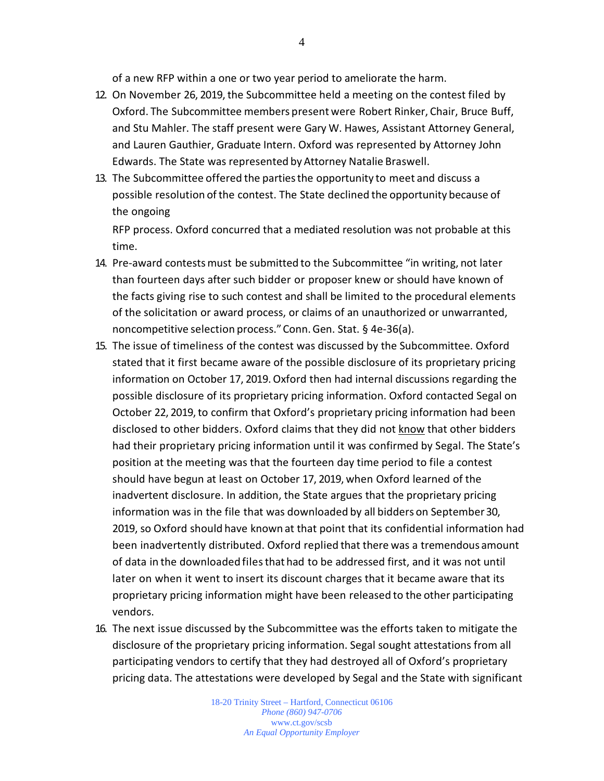of a new RFP within a one or two year period to ameliorate the harm.

- 12. On November 26, 2019, the Subcommittee held a meeting on the contest filed by Oxford. The Subcommittee members present were Robert Rinker, Chair, Bruce Buff, and Stu Mahler. The staff present were Gary W. Hawes, Assistant Attorney General, and Lauren Gauthier, Graduate Intern. Oxford was represented by Attorney John Edwards. The State was represented by Attorney Natalie Braswell.
- 13. The Subcommittee offered the partiesthe opportunity to meet and discuss a possible resolution of the contest. The State declined the opportunity because of the ongoing

RFP process. Oxford concurred that a mediated resolution was not probable at this time.

- 14. Pre-award contestsmust be submitted to the Subcommittee "in writing, not later than fourteen days after such bidder or proposer knew or should have known of the facts giving rise to such contest and shall be limited to the procedural elements of the solicitation or award process, or claims of an unauthorized or unwarranted, noncompetitive selection process."Conn.Gen. Stat. § 4e-36(a).
- 15. The issue of timeliness of the contest was discussed by the Subcommittee. Oxford stated that it first became aware of the possible disclosure of its proprietary pricing information on October 17, 2019. Oxford then had internal discussions regarding the possible disclosure of its proprietary pricing information. Oxford contacted Segal on October 22, 2019, to confirm that Oxford's proprietary pricing information had been disclosed to other bidders. Oxford claims that they did not know that other bidders had their proprietary pricing information until it was confirmed by Segal. The State's position at the meeting was that the fourteen day time period to file a contest should have begun at least on October 17, 2019, when Oxford learned of the inadvertent disclosure. In addition, the State argues that the proprietary pricing information was in the file that was downloaded by all bidders on September30, 2019, so Oxford should have known at that point that its confidential information had been inadvertently distributed. Oxford replied that there was a tremendous amount of data in the downloaded filesthat had to be addressed first, and it was not until later on when it went to insert its discount charges that it became aware that its proprietary pricing information might have been released to the other participating vendors.
- 16. The next issue discussed by the Subcommittee was the efforts taken to mitigate the disclosure of the proprietary pricing information. Segal sought attestations from all participating vendors to certify that they had destroyed all of Oxford's proprietary pricing data. The attestations were developed by Segal and the State with significant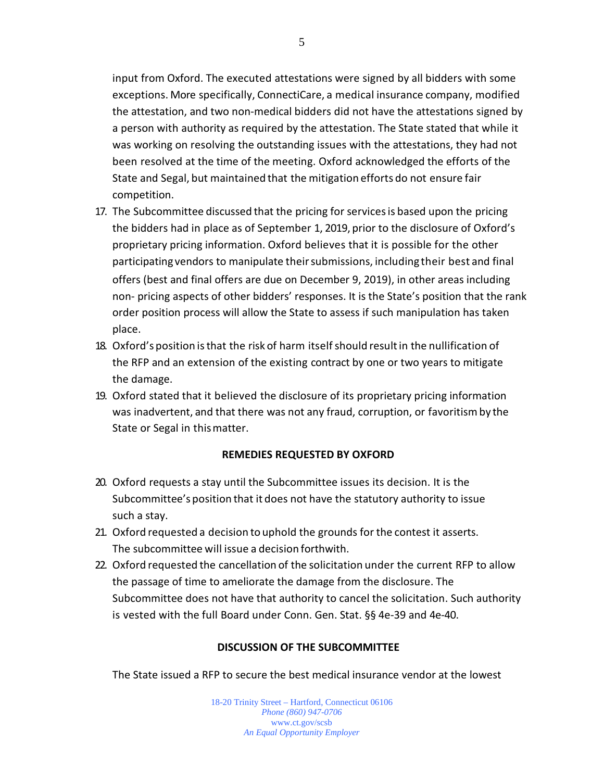input from Oxford. The executed attestations were signed by all bidders with some exceptions. More specifically, ConnectiCare, a medical insurance company, modified the attestation, and two non-medical bidders did not have the attestations signed by a person with authority as required by the attestation. The State stated that while it was working on resolving the outstanding issues with the attestations, they had not been resolved at the time of the meeting. Oxford acknowledged the efforts of the State and Segal, but maintained that the mitigation efforts do not ensure fair competition.

- 17. The Subcommittee discussed that the pricing for servicesis based upon the pricing the bidders had in place as of September 1, 2019, prior to the disclosure of Oxford's proprietary pricing information. Oxford believes that it is possible for the other participating vendors to manipulate theirsubmissions, including their best and final offers (best and final offers are due on December 9, 2019), in other areas including non- pricing aspects of other bidders' responses. It is the State's position that the rank order position process will allow the State to assess if such manipulation has taken place.
- 18. Oxford's position isthat the risk of harm itselfshould resultin the nullification of the RFP and an extension of the existing contract by one or two years to mitigate the damage.
- 19. Oxford stated that it believed the disclosure of its proprietary pricing information was inadvertent, and that there was not any fraud, corruption, or favoritismby the State or Segal in thismatter.

# **REMEDIES REQUESTED BY OXFORD**

- 20. Oxford requests a stay until the Subcommittee issues its decision. It is the Subcommittee's position that it does not have the statutory authority to issue such a stay.
- 21. Oxford requested a decision to uphold the grounds for the contest it asserts. The subcommittee will issue a decision forthwith.
- 22. Oxford requested the cancellation of the solicitation under the current RFP to allow the passage of time to ameliorate the damage from the disclosure. The Subcommittee does not have that authority to cancel the solicitation. Such authority is vested with the full Board under Conn. Gen. Stat. §§ 4e-39 and 4e-40.

# **DISCUSSION OF THE SUBCOMMITTEE**

The State issued a RFP to secure the best medical insurance vendor at the lowest

18-20 Trinity Street – Hartford, Connecticut 06106 *Phone (860) 947-0706*  www.ct.gov/scsb *An Equal Opportunity Employer*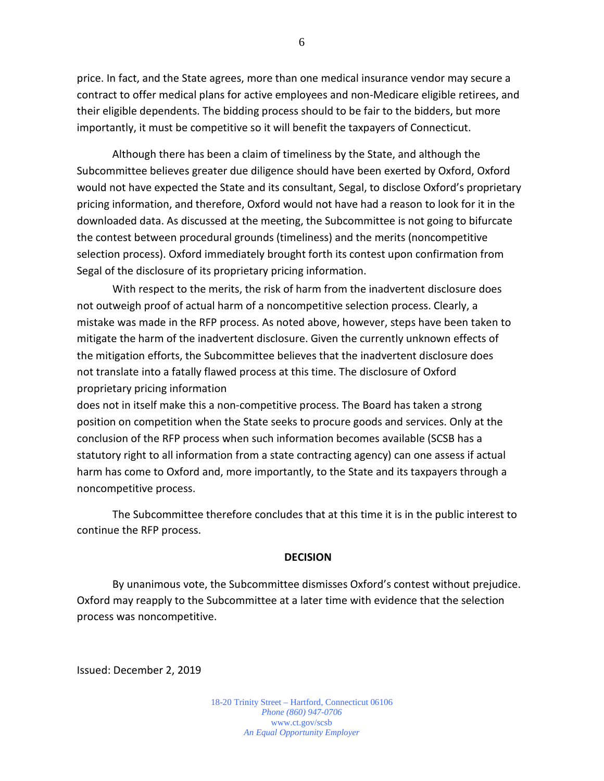price. In fact, and the State agrees, more than one medical insurance vendor may secure a contract to offer medical plans for active employees and non-Medicare eligible retirees, and their eligible dependents. The bidding process should to be fair to the bidders, but more importantly, it must be competitive so it will benefit the taxpayers of Connecticut.

Although there has been a claim of timeliness by the State, and although the Subcommittee believes greater due diligence should have been exerted by Oxford, Oxford would not have expected the State and its consultant, Segal, to disclose Oxford's proprietary pricing information, and therefore, Oxford would not have had a reason to look for it in the downloaded data. As discussed at the meeting, the Subcommittee is not going to bifurcate the contest between procedural grounds (timeliness) and the merits (noncompetitive selection process). Oxford immediately brought forth its contest upon confirmation from Segal of the disclosure of its proprietary pricing information.

With respect to the merits, the risk of harm from the inadvertent disclosure does not outweigh proof of actual harm of a noncompetitive selection process. Clearly, a mistake was made in the RFP process. As noted above, however, steps have been taken to mitigate the harm of the inadvertent disclosure. Given the currently unknown effects of the mitigation efforts, the Subcommittee believes that the inadvertent disclosure does not translate into a fatally flawed process at this time. The disclosure of Oxford proprietary pricing information

does not in itself make this a non-competitive process. The Board has taken a strong position on competition when the State seeks to procure goods and services. Only at the conclusion of the RFP process when such information becomes available (SCSB has a statutory right to all information from a state contracting agency) can one assess if actual harm has come to Oxford and, more importantly, to the State and its taxpayers through a noncompetitive process.

The Subcommittee therefore concludes that at this time it is in the public interest to continue the RFP process.

#### **DECISION**

By unanimous vote, the Subcommittee dismisses Oxford's contest without prejudice. Oxford may reapply to the Subcommittee at a later time with evidence that the selection process was noncompetitive.

Issued: December 2, 2019

18-20 Trinity Street – Hartford, Connecticut 06106 *Phone (860) 947-0706*  www.ct.gov/scsb *An Equal Opportunity Employer*